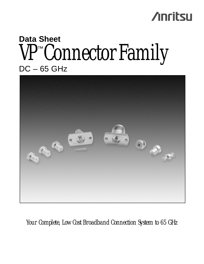## **Anritsu**

# **Data Sheet** VP<sup>™</sup>Connector Family



*Your Complete, Low Cost Broadband Connection System to 65 GHz*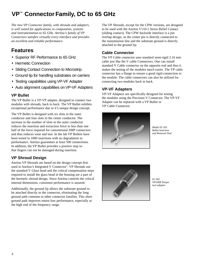### **VP™ Connector Family, DC to 65 GHz**

*The new VP Connector family, with shrouds and adapters, is well suited for applications in components, systems and instrumentation to 65 GHz. Anritsu's family of VP Connectors satisfies virtually every interface and provides an excellent and reliable performance.*

#### **Features**

- Superior RF Performance to 65 GHz
- Hermetic Connection
- Sliding Contact Connection to Microstrip
- Ground lip for handling substrates on carriers
- Testing capabilities using VP-VF Adapter
- Auto alignment capabilities on VP-VF Adapters

#### **VP Bullet**

The VP Bullet is a VP-VP adapter, designed to connect two modules with shrouds, back to back. The VP Bullet exhibits exceptional performance due to it's unique design concept.

The VP Bullet is designed with six slots in the outer conductor and four slots in the center conductor. The increase in the number of slots in the outer conductor reduces the insertion and extraction force to less than one half of the force required for conventional SMP connectors and thus reduces wear and tear. In the lab VP Bullets have been tested to 1000 insertions with no degradation in performance. Anritsu guarantees at least 500 connections. In addition, the VP Bullet provides a positive stop so that fingers can not be damaged during insertion.

#### **VP Shroud Design**

Anritsu VP Shrouds are based on the design concept first used in Anritsu's Integrated V Connector®. VP Shrouds use the standard V Glass bead and the critical compensation steps required to install the glass bead in the housing are a part of the hermetic shroud design. Since Anritsu controls the critical internal dimensions, consistent performance is assured.

Additionally, the ground lip allows the substrate ground to be attached directly to the connector, eliminating the long ground path common to other connector families. This short ground path improves return loss performance, especially at the high end of the frequency range.

The VP Shrouds, except for the CPW versions, are designed to be used with the Anritsu V110-1 Stress Relief Contact (sliding contact). The CPW backside interface is a pin overlap design, so the center pin is directly connected to the transmission line and the substrate ground is directly attached to the ground lip.

#### **Cable Connector**

The VP Cable connector uses standard semi-rigid 2.16 mm cable just like the V cable Connectors. One can install standard V Cable connector on the opposite end and thus it makes the testing of the modules much easier. The VP cable connector has a flange to ensure a good rigid connection to the module. The cable connectors can also be utilized for connecting two modules back to back.

#### **VP-VF Adapters**

VP-VF Adapters are specifically designed for testing the modules using the Precision V Connector. The VP-VF Adapter can be replaced with a VP Bullet or VP Cable Connector.



*Model 01-501 Bullet Insertion and Removal Tool*



*01-502 VP100B Torque tool adapter*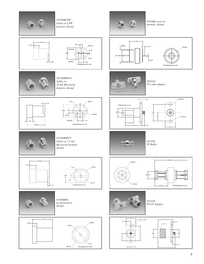

*VP100BCPW Solder-in CPW hermetic shroud*



*VP100B screw-in hermetic shroud*







.51

*VP100BMS10 Solder-in 10 mil Microstrip hermetic shroud*







3.57 ACROSS FLTS

 $\top$ 

*VP101F VP cable adapter*

Ø.24







*VP100BMS75 Solder-in 7.5 mil Microstrip hermetic shroud*





*VP100BNL no lip hermetic shroud*





*VP102F VP Bullet*





 $-6.50$ 



*VP103F VP-VF Adapter*